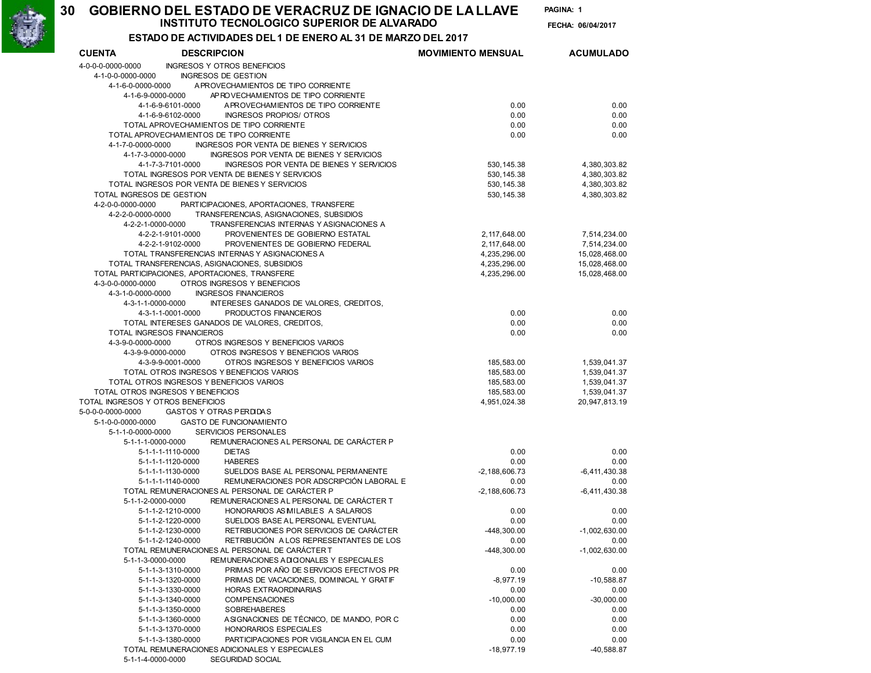## INSTITUTO TECNOLOGICO SUPERIOR DE ALVARADO 06/04/2017 GOBIERNO DEL ESTADO DE VERACRUZ DE IGNACIO DE LA LLAVE PAGINA:

30

PAGINA: 1

FECHA: 06/04/2017

| ESTADO DE ACTIVIDADES DEL 1 DE ENERO AL 31 DE MARZO DEL 2017 |  |
|--------------------------------------------------------------|--|
|                                                              |  |

| <b>CUENTA</b>                          | <b>DESCRIPCION</b>                                                                                       | <b>MOVIMIENTO MENSUAL</b> | <b>ACUMULADO</b> |
|----------------------------------------|----------------------------------------------------------------------------------------------------------|---------------------------|------------------|
| 4-0-0-0-0000-0000                      | <b>INGRESOS Y OTROS BENEFICIOS</b>                                                                       |                           |                  |
| 4-1-0-0-0000-0000                      | <b>INGRESOS DE GESTION</b>                                                                               |                           |                  |
| 4-1-6-0-0000-0000                      | A PROVECHAMIENTOS DE TIPO CORRIENTE                                                                      |                           |                  |
| 4-1-6-9-0000-0000                      | AP ROVECHAMIENTOS DE TIPO CORRIENTE                                                                      |                           |                  |
|                                        | 4-1-6-9-6101-0000<br>APROVECHAMIENTOS DE TIPO CORRIENTE                                                  | 0.00                      | 0.00             |
|                                        | 4-1-6-9-6102-0000<br>INGRESOS PROPIOS/ OTROS<br>TOTAL APROVECHAMIENTOS DE TIPO CORRIENTE                 | 0.00<br>0.00              | 0.00<br>0.00     |
|                                        | TOTAL APROVECHAMIENTOS DE TIPO CORRIENTE                                                                 | 0.00                      | 0.00             |
| 4-1-7-0-0000-0000                      | INGRESOS POR VENTA DE BIENES Y SERVICIOS                                                                 |                           |                  |
| 4-1-7-3-0000-0000                      | INGRESOS POR VENTA DE BIENES Y SERVICIOS                                                                 |                           |                  |
|                                        | 4-1-7-3-7101-0000<br>INGRESOS POR VENTA DE BIENES Y SERVICIOS                                            | 530, 145.38               | 4,380,303.82     |
|                                        | TOTAL INGRESOS POR VENTA DE BIENES Y SERVICIOS                                                           | 530.145.38                | 4,380,303.82     |
|                                        | TOTAL INGRESOS POR VENTA DE BIENES Y SERVICIOS                                                           | 530, 145.38               | 4,380,303.82     |
| TOTAL INGRESOS DE GESTION              |                                                                                                          | 530, 145.38               | 4,380,303.82     |
| 4-2-0-0-0000-0000                      | PARTICIPACIONES, APORTACIONES, TRANSFERE                                                                 |                           |                  |
| 4-2-2-0-0000-0000                      | TRANSFERENCIAS, ASIGNACIONES, SUBSIDIOS                                                                  |                           |                  |
| 4-2-2-1-0000-0000                      | TRANSFERENCIAS INTERNAS Y ASIGNACIONES A                                                                 |                           |                  |
|                                        | 4-2-2-1-9101-0000<br>PROVENIENTES DE GOBIERNO ESTATAL                                                    | 2, 117, 648.00            | 7,514,234.00     |
|                                        | 4-2-2-1-9102-0000<br>PROVENIENTES DE GOBIERNO FEDERAL                                                    | 2, 117, 648.00            | 7,514,234.00     |
|                                        | TOTAL TRANSFERENCIAS INTERNAS Y ASIGNACIONES A                                                           | 4,235,296.00              | 15,028,468.00    |
|                                        | TOTAL TRANSFERENCIAS, ASIGNACIONES, SUBSIDIOS<br>TOTAL PARTICIPACIONES, APORTACIONES, TRANSFERE          | 4,235,296.00              | 15,028,468.00    |
| 4-3-0-0-0000-0000                      | OTROS INGRESOS Y BENEFICIOS                                                                              | 4,235,296.00              | 15,028,468.00    |
| 4-3-1-0-0000-0000                      | <b>INGRESOS FINANCIEROS</b>                                                                              |                           |                  |
| 4-3-1-1-0000-0000                      | INTERESES GANADOS DE VALORES, CREDITOS,                                                                  |                           |                  |
|                                        | 4-3-1-1-0001-0000<br>PRODUCTOS FINANCIEROS                                                               | 0.00                      | 0.00             |
|                                        | TOTAL INTERESES GANADOS DE VALORES, CREDITOS,                                                            | 0.00                      | 0.00             |
|                                        | TOTAL INGRESOS FINANCIEROS                                                                               | 0.00                      | 0.00             |
| 4-3-9-0-0000-0000                      | OTROS INGRESOS Y BENEFICIOS VARIOS                                                                       |                           |                  |
| 4-3-9-9-0000-0000                      | OTROS INGRESOS Y BENEFICIOS VARIOS                                                                       |                           |                  |
|                                        | 4-3-9-9-0001-0000<br>OTROS INGRESOS Y BENEFICIOS VARIOS                                                  | 185,583.00                | 1,539,041.37     |
|                                        | TOTAL OTROS INGRESOS Y BENEFICIOS VARIOS                                                                 | 185,583.00                | 1,539,041.37     |
|                                        | TOTAL OTROS INGRESOS Y BENEFICIOS VARIOS                                                                 | 185,583.00                | 1,539,041.37     |
|                                        | TOTAL OTROS INGRESOS Y BENEFICIOS                                                                        | 185,583.00                | 1,539,041.37     |
| TOTAL INGRESOS Y OTROS BENEFICIOS      |                                                                                                          | 4,951,024.38              | 20,947,813.19    |
| 5-0-0-0-0000-0000<br>5-1-0-0-0000-0000 | GASTOS Y OTRAS PERDIDAS<br><b>GASTO DE FUNCIONAMIENTO</b>                                                |                           |                  |
| 5-1-1-0-0000-0000                      | <b>SERVICIOS PERSONALES</b>                                                                              |                           |                  |
| 5-1-1-1-0000-0000                      | REMUNERACIONES AL PERSONAL DE CARÁCTER P                                                                 |                           |                  |
|                                        | 5-1-1-1-1110-0000<br><b>DIETAS</b>                                                                       | 0.00                      | 0.00             |
|                                        | 5-1-1-1-1120-0000<br><b>HABERES</b>                                                                      | 0.00                      | 0.00             |
|                                        | SUELDOS BASE AL PERSONAL PERMANENTE<br>5-1-1-1-1130-0000                                                 | $-2,188,606.73$           | $-6,411,430.38$  |
|                                        | REMUNERACIONES POR ADSCRIPCIÓN LABORAL E<br>5-1-1-1-1140-0000                                            | 0.00                      | 0.00             |
|                                        | TOTAL REMUNERACIONES AL PERSONAL DE CARÁCTER P                                                           | $-2,188,606.73$           | $-6,411,430.38$  |
| 5-1-1-2-0000-0000                      | REMUNERACIONES AL PERSONAL DE CARÁCTER T                                                                 |                           |                  |
|                                        | HONORARIOS AS MILABLES A SALARIOS<br>5-1-1-2-1210-0000                                                   | 0.00                      | 0.00             |
|                                        | SUELDOS BASE AL PERSONAL EVENTUAL<br>5-1-1-2-1220-0000                                                   | 0.00                      | 0.00             |
|                                        | 5-1-1-2-1230-0000<br>RETRIBUCIONES POR SERVICIOS DE CARÁCTER                                             | $-448.300.00$             | $-1,002,630.00$  |
|                                        | 5-1-1-2-1240-0000<br>RETRIBUCIÓN A LOS REPRESENTANTES DE LOS                                             | 0.00                      | 0.00             |
| 5-1-1-3-0000-0000                      | TOTAL REMUNERACIONES AL PERSONAL DE CARÁCTER T                                                           | -448,300.00               | $-1,002,630.00$  |
|                                        | REMUNERACIONES ADICIONALES Y ESPECIALES<br>PRIMAS POR AÑO DE SERVICIOS EFECTIVOS PR<br>5-1-1-3-1310-0000 | 0.00                      | 0.00             |
|                                        | 5-1-1-3-1320-0000<br>PRIMAS DE VACACIONES, DOMINICAL Y GRATIF                                            | $-8,977.19$               | $-10,588.87$     |
|                                        | 5-1-1-3-1330-0000<br>HORAS EXTRAORDINARIAS                                                               | 0.00                      | 0.00             |
|                                        | 5-1-1-3-1340-0000<br><b>COMPENSACIONES</b>                                                               | $-10,000.00$              | $-30,000.00$     |
|                                        | 5-1-1-3-1350-0000<br>SOBREHABERES                                                                        | 0.00                      | 0.00             |
|                                        | 5-1-1-3-1360-0000<br>ASIGNACIONES DE TÉCNICO, DE MANDO, POR C                                            | 0.00                      | 0.00             |
|                                        | 5-1-1-3-1370-0000<br>HONORARIOS ESPECIALES                                                               | 0.00                      | 0.00             |
|                                        | PARTICIPACIONES POR VIGILANCIA EN EL CUM<br>5-1-1-3-1380-0000                                            | 0.00                      | 0.00             |
|                                        | TOTAL REMUNERACIONES ADICIONALES Y ESPECIALES                                                            | $-18,977.19$              | $-40,588.87$     |
| 5-1-1-4-0000-0000                      | SEGURIDAD SOCIAL                                                                                         |                           |                  |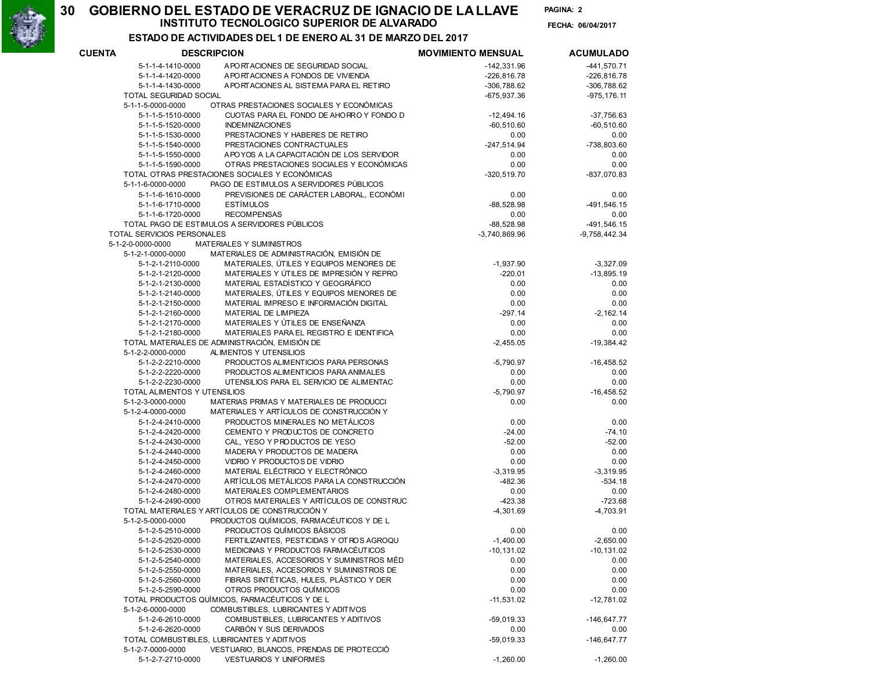30

## INSTITUTO TECNOLOGICO SUPERIOR DE ALVARADO 06/04/2017 GOBIERNO DEL ESTADO DE VERACRUZ DE IGNACIO DE LA LLAVE PAGINA:

PAGINA: 2 FECHA: 06/04/2017

ESTADO DE ACTIVIDADES DEL 1 DE ENERO AL 31 DE MARZO DEL 2017

| <b>DESCRIPCION</b><br><b>CUENTA</b> |                                        |                                                                              | <b>MOVIMIENTO MENSUAL</b> | <b>ACUMULADO</b>         |
|-------------------------------------|----------------------------------------|------------------------------------------------------------------------------|---------------------------|--------------------------|
|                                     | 5-1-1-4-1410-0000                      | A PORTACIONES DE SEGURIDAD SOCIAL                                            | $-142,331.96$             | $-441,570.71$            |
|                                     | 5-1-1-4-1420-0000                      | APORTACIONES A FONDOS DE VIVIENDA                                            | $-226,816.78$             | $-226, 816.78$           |
|                                     | 5-1-1-4-1430-0000                      | A PORTACIONES AL SISTEMA PARA EL RETIRO                                      | $-306,788.62$             | $-306,788.62$            |
|                                     | TOTAL SEGURIDAD SOCIAL                 |                                                                              | -675,937.36               | $-975, 176.11$           |
|                                     | 5-1-1-5-0000-0000                      | OTRAS PRESTACIONES SOCIALES Y ECONÓMICAS                                     |                           |                          |
|                                     | 5-1-1-5-1510-0000                      | CUOTAS PARA EL FONDO DE AHORRO Y FONDO D                                     | $-12,494.16$              | $-37,756.63$             |
|                                     | 5-1-1-5-1520-0000                      | <b>INDEMNIZACIONES</b>                                                       | $-60,510.60$              | $-60,510.60$             |
|                                     | 5-1-1-5-1530-0000                      | PRESTACIONES Y HABERES DE RETIRO                                             | 0.00                      | 0.00                     |
|                                     | 5-1-1-5-1540-0000                      | PRESTACIONES CONTRACTUALES                                                   | $-247,514.94$             | -738,803.60              |
|                                     | 5-1-1-5-1550-0000                      | APOYOS A LA CAPACITACIÓN DE LOS SERVIDOR                                     | 0.00                      | 0.00                     |
|                                     | 5-1-1-5-1590-0000                      | OTRAS PRESTACIONES SOCIALES Y ECONÓMICAS                                     | 0.00                      | 0.00                     |
|                                     |                                        | TOTAL OTRAS PRESTACIONES SOCIALES Y ECONÓMICAS                               | $-320,519.70$             | -837,070.83              |
|                                     | 5-1-1-6-0000-0000                      | PAGO DE ESTIMULOS A SERVIDORES PÚBLICOS                                      |                           |                          |
|                                     | 5-1-1-6-1610-0000                      | PREVISIONES DE CARÁCTER LABORAL, ECONÓMI                                     | 0.00                      | 0.00                     |
|                                     | 5-1-1-6-1710-0000                      | <b>ESTÍMULOS</b>                                                             | $-88,528.98$              | $-491,546.15$            |
|                                     | 5-1-1-6-1720-0000                      | <b>RECOMPENSAS</b>                                                           | 0.00                      | 0.00                     |
|                                     |                                        | TOTAL PAGO DE ESTIMULOS A SERVIDORES PÚBLICOS                                | $-88,528.98$              | $-491,546.15$            |
|                                     | TOTAL SERVICIOS PERSONALES             |                                                                              | $-3,740,869.96$           | $-9,758,442.34$          |
|                                     | 5-1-2-0-0000-0000                      | MATERIALES Y SUMINISTROS                                                     |                           |                          |
|                                     | 5-1-2-1-0000-0000                      | MATERIALES DE ADMINISTRACIÓN, EMISIÓN DE                                     |                           |                          |
|                                     | 5-1-2-1-2110-0000                      | MATERIALES, ÚTILES Y EQUIPOS MENORES DE                                      | $-1,937.90$               | $-3,327.09$              |
|                                     | 5-1-2-1-2120-0000                      | MATERIALES Y ÚTILES DE IMPRESIÓN Y REPRO                                     | $-220.01$                 | $-13,895.19$             |
|                                     | 5-1-2-1-2130-0000                      | MATERIAL ESTADÍSTICO Y GEOGRÁFICO                                            | 0.00                      | 0.00                     |
|                                     | 5-1-2-1-2140-0000                      | MATERIALES, ÚTILES Y EQUIPOS MENORES DE                                      | 0.00                      | 0.00                     |
|                                     | 5-1-2-1-2150-0000                      | MATERIAL IMPRESO E INFORMACIÓN DIGITAL                                       | 0.00                      | 0.00                     |
|                                     | 5-1-2-1-2160-0000                      | MATERIAL DE LIMPIEZA                                                         | $-297.14$                 | $-2, 162.14$             |
|                                     | 5-1-2-1-2170-0000                      | MATERIALES Y ÚTILES DE ENSEÑANZA                                             | 0.00                      | 0.00                     |
|                                     | 5-1-2-1-2180-0000                      | MATERIALES PARA EL REGISTRO E IDENTIFICA                                     | 0.00                      | 0.00                     |
|                                     |                                        | TOTAL MATERIALES DE ADMINISTRACIÓN, EMISIÓN DE                               | $-2,455.05$               | $-19,384.42$             |
|                                     | 5-1-2-2-0000-0000                      | AL IMENTOS Y UTENSILIOS                                                      |                           |                          |
|                                     | 5-1-2-2-2210-0000                      | PRODUCTOS ALIMENTICIOS PARA PERSONAS                                         | $-5,790.97$               | $-16,458.52$             |
|                                     | 5-1-2-2-2220-0000                      | PRODUCTOS ALIMENTICIOS PARA ANIMALES                                         | 0.00                      | 0.00                     |
|                                     | 5-1-2-2-2230-0000                      | UTENSILIOS PARA EL SERVICIO DE ALIMENTAC                                     | 0.00                      | 0.00                     |
|                                     | TOTAL ALIMENTOS Y UTENSILIOS           |                                                                              | $-5,790.97$               | $-16,458.52$             |
|                                     | 5-1-2-3-0000-0000                      | MATERIAS PRIMAS Y MATERIALES DE PRODUCCI                                     | 0.00                      | 0.00                     |
|                                     | 5-1-2-4-0000-0000                      | MATERIALES Y ARTÍCULOS DE CONSTRUCCIÓN Y                                     |                           |                          |
|                                     | 5-1-2-4-2410-0000                      | PRODUCTOS MINERALES NO METÁLICOS                                             | 0.00                      | 0.00                     |
|                                     | 5-1-2-4-2420-0000                      | CEMENTO Y PRODUCTOS DE CONCRETO                                              | $-24.00$                  | $-74.10$                 |
|                                     | 5-1-2-4-2430-0000                      | CAL, YESO Y PRODUCTOS DE YESO                                                | $-52.00$                  | $-52.00$                 |
|                                     | 5-1-2-4-2440-0000                      | MADERA Y PRODUCTOS DE MADERA                                                 | 0.00                      | 0.00                     |
|                                     | 5-1-2-4-2450-0000<br>5-1-2-4-2460-0000 | VIDRIO Y PRODUCTOS DE VIDRIO                                                 | 0.00                      | 0.00                     |
|                                     |                                        | MATERIAL ELÉCTRICO Y ELECTRÓNICO<br>ARTÍCULOS METÁLICOS PARA LA CONSTRUCCIÓN | $-3,319.95$               | $-3,319.95$<br>$-534.18$ |
|                                     | 5-1-2-4-2470-0000                      | MATERIALES COMPLEMENTARIOS                                                   | $-482.36$<br>0.00         |                          |
|                                     | 5-1-2-4-2480-0000<br>5-1-2-4-2490-0000 | OTROS MATERIALES Y ARTÍCULOS DE CONSTRUC                                     | $-423.38$                 | 0.00<br>$-723.68$        |
|                                     |                                        | TOTAL MATERIALES Y ARTÍCULOS DE CONSTRUCCIÓN Y                               | $-4,301.69$               | $-4,703.91$              |
|                                     | 5-1-2-5-0000-0000                      | PRODUCTOS QUÍMICOS, FARMACÉUTICOS Y DE L                                     |                           |                          |
|                                     | 5-1-2-5-2510-0000                      | PRODUCTOS QUÍMICOS BÁSICOS                                                   | 0.00                      | 0.00                     |
|                                     | 5-1-2-5-2520-0000                      | FERTILIZANTES, PESTICIDAS Y OT ROS AGROQU                                    | $-1,400.00$               | $-2,650.00$              |
|                                     | 5-1-2-5-2530-0000                      | MEDICINAS Y PRODUCTOS FARMACEUTICOS                                          | $-10, 131.02$             | $-10, 131.02$            |
|                                     | 5-1-2-5-2540-0000                      | MATERIALES, ACCESORIOS Y SUMINISTROS MÉD                                     | 0.00                      | 0.00                     |
|                                     | 5-1-2-5-2550-0000                      | MATERIALES, ACCESORIOS Y SUMINISTROS DE                                      | 0.00                      | 0.00                     |
|                                     | 5-1-2-5-2560-0000                      | FIBRAS SINTÉTICAS, HULES, PLÁSTICO Y DER                                     | 0.00                      | 0.00                     |
|                                     | 5-1-2-5-2590-0000                      | OTROS PRODUCTOS QUÍMICOS                                                     | 0.00                      | 0.00                     |
|                                     |                                        | TOTAL PRODUCTOS QUÍMICOS, FARMACÉUTICOS Y DE L                               | $-11,531.02$              | $-12,781.02$             |
|                                     | 5-1-2-6-0000-0000                      | COMBUSTIBLES, LUBRICANTES Y ADITIVOS                                         |                           |                          |
|                                     | 5-1-2-6-2610-0000                      | COMBUSTIBLES, LUBRICANTES Y ADITIVOS                                         | $-59,019.33$              | $-146,647.77$            |
|                                     | 5-1-2-6-2620-0000                      | CARBÓN Y SUS DERIVADOS                                                       | 0.00                      | 0.00                     |
|                                     |                                        | TOTAL COMBUSTIBLES, LUBRICANTES Y ADITIVOS                                   | $-59,019.33$              | $-146,647.77$            |
|                                     | 5-1-2-7-0000-0000                      | VESTUARIO, BLANCOS, PRENDAS DE PROTECCIÓ                                     |                           |                          |
|                                     | 5-1-2-7-2710-0000                      | <b>VESTUARIOS Y UNIFORMES</b>                                                | $-1,260.00$               | $-1,260.00$              |
|                                     |                                        |                                                                              |                           |                          |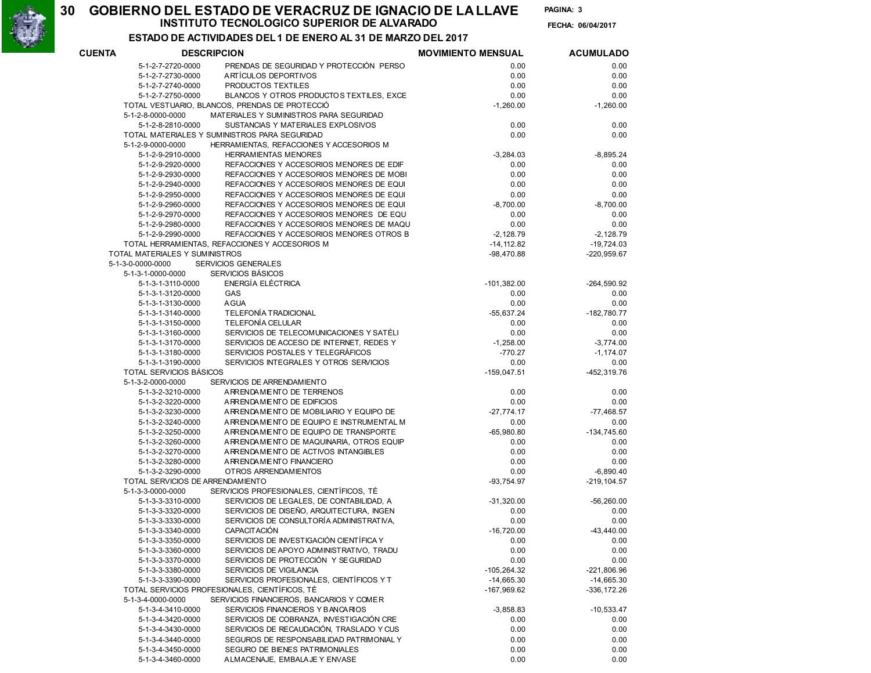30

# INSTITUTO TECNOLOGICO SUPERIOR DE ALVARADO 06/04/2017 GOBIERNO DEL ESTADO DE VERACRUZ DE IGNACIO DE LA LLAVE PAGINA:

PAGINA: 3 FECHA: 06/04/2017

# ESTADO DE ACTIVIDADES DEL 1 DE ENERO AL 31 DE MARZO DEL 2017

| <b>CUENTA</b>                  | <b>DESCRIPCION</b>                             | <b>MOVIMIENTO MENSUAL</b> | <b>ACUMULADO</b> |  |
|--------------------------------|------------------------------------------------|---------------------------|------------------|--|
| 5-1-2-7-2720-0000              | PRENDAS DE SEGURIDAD Y PROTECCIÓN PERSO        | 0.00                      | 0.00             |  |
| 5-1-2-7-2730-0000              | ARTÍCULOS DEPORTIVOS                           | 0.00                      | 0.00             |  |
| 5-1-2-7-2740-0000              | PRODUCTOS TEXTILES                             | 0.00                      | 0.00             |  |
| 5-1-2-7-2750-0000              | BLANCOS Y OTROS PRODUCTOS TEXTILES, EXCE       | 0.00                      | 0.00             |  |
|                                | TOTAL VESTUARIO, BLANCOS, PRENDAS DE PROTECCIÓ | $-1,260.00$               | $-1,260.00$      |  |
| 5-1-2-8-0000-0000              | MATERIALES Y SUMINISTROS PARA SEGURIDAD        |                           |                  |  |
| 5-1-2-8-2810-0000              | SUSTANCIAS Y MATERIALES EXPLOSIVOS             | 0.00                      | 0.00             |  |
|                                | TOTAL MATERIALES Y SUMINISTROS PARA SEGURIDAD  | 0.00                      | 0.00             |  |
| 5-1-2-9-0000-0000              | HERRAMIENTAS, REFACCIONES Y ACCESORIOS M       |                           |                  |  |
| 5-1-2-9-2910-0000              | <b>HERRAMIENTAS MENORES</b>                    | $-3,284.03$               | $-8,895.24$      |  |
| 5-1-2-9-2920-0000              | REFACCIONES Y ACCESORIOS MENORES DE EDIF       | 0.00                      | 0.00             |  |
|                                | REFACCIONES Y ACCESORIOS MENORES DE MOBI       |                           | 0.00             |  |
| 5-1-2-9-2930-0000              | REFACCIONES Y ACCESORIOS MENORES DE EQUI       | 0.00                      |                  |  |
| 5-1-2-9-2940-0000              |                                                | 0.00                      | 0.00             |  |
| 5-1-2-9-2950-0000              | REFACCIONES Y ACCESORIOS MENORES DE EQUI       | 0.00                      | 0.00             |  |
| 5-1-2-9-2960-0000              | REFACCIONES Y ACCESORIOS MENORES DE EQUI       | $-8,700.00$               | $-8,700.00$      |  |
| 5-1-2-9-2970-0000              | REFACCIONES Y ACCESORIOS MENORES DE EQU        | 0.00                      | 0.00             |  |
| 5-1-2-9-2980-0000              | REFACCIONES Y ACCESORIOS MENORES DE MAQU       | 0.00                      | 0.00             |  |
| 5-1-2-9-2990-0000              | REFACCIONES Y ACCESORIOS MENORES OTROS B       | $-2,128.79$               | $-2,128.79$      |  |
|                                | TOTAL HERRAMIENTAS, REFACCIONES Y ACCESORIOS M | $-14, 112.82$             | $-19,724.03$     |  |
| TOTAL MATERIALES Y SUMINISTROS |                                                | $-98,470.88$              | $-220,959.67$    |  |
| 5-1-3-0-0000-0000              | <b>SERVICIOS GENERALES</b>                     |                           |                  |  |
| 5-1-3-1-0000-0000              | SERVICIOS BÁSICOS                              |                           |                  |  |
| 5-1-3-1-3110-0000              | ENERGÍA ELÉCTRICA                              | $-101,382.00$             | $-264,590.92$    |  |
| 5-1-3-1-3120-0000              | GAS                                            | 0.00                      | 0.00             |  |
| 5-1-3-1-3130-0000              | <b>AGUA</b>                                    | 0.00                      | 0.00             |  |
| 5-1-3-1-3140-0000              | TELEFONÍA TRADICIONAL                          | $-55,637.24$              | $-182,780.77$    |  |
| 5-1-3-1-3150-0000              | <b>TELEFONÍA CELULAR</b>                       | 0.00                      | 0.00             |  |
| 5-1-3-1-3160-0000              | SERVICIOS DE TELECOMUNICACIONES Y SATÉLI       | 0.00                      | 0.00             |  |
| 5-1-3-1-3170-0000              | SERVICIOS DE ACCESO DE INTERNET, REDES Y       | $-1,258.00$               | $-3,774.00$      |  |
| 5-1-3-1-3180-0000              | SERVICIOS POSTALES Y TELEGRÁFICOS              | $-770.27$                 | $-1,174.07$      |  |
| 5-1-3-1-3190-0000              | SERVICIOS INTEGRALES Y OTROS SERVICIOS         | 0.00                      | 0.00             |  |
| TOTAL SERVICIOS BÁSICOS        |                                                | $-159,047.51$             | -452,319.76      |  |
| 5-1-3-2-0000-0000              | SERVICIOS DE ARRENDAMIENTO                     |                           |                  |  |
| 5-1-3-2-3210-0000              | ARRENDAMENTO DE TERRENOS                       | 0.00                      | 0.00             |  |
| 5-1-3-2-3220-0000              | ARRENDAMENTO DE EDIFICIOS                      | 0.00                      | 0.00             |  |
| 5-1-3-2-3230-0000              | ARRENDAMENTO DE MOBILIARIO Y EQUIPO DE         | $-27,774.17$              | $-77,468.57$     |  |
| 5-1-3-2-3240-0000              | ARRENDAMENTO DE EQUIPO E INSTRUMENTAL M        | 0.00                      | 0.00             |  |
| 5-1-3-2-3250-0000              | ARRENDAMENTO DE EQUIPO DE TRANSPORTE           | $-65,980.80$              | $-134,745.60$    |  |
| 5-1-3-2-3260-0000              | ARRENDAMENTO DE MAQUINARIA, OTROS EQUIP        | 0.00                      | 0.00             |  |
| 5-1-3-2-3270-0000              | ARRENDAMENTO DE ACTIVOS INTANGIBLES            | 0.00                      | 0.00             |  |
| 5-1-3-2-3280-0000              | ARRENDAMENTO FINANCIERO                        | 0.00                      | 0.00             |  |
| 5-1-3-2-3290-0000              | <b>OTROS ARRENDAMIENTOS</b>                    | 0.00                      | $-6,890.40$      |  |
|                                | TOTAL SERVICIOS DE ARRENDAMIENTO               | $-93.754.97$              | $-219, 104.57$   |  |
| 5-1-3-3-0000-0000              | SERVICIOS PROFESIONALES, CIENTÍFICOS, TÉ       |                           |                  |  |
| 5-1-3-3-3310-0000              | SERVICIOS DE LEGALES, DE CONTABILIDAD, A       | $-31,320.00$              | $-56,260.00$     |  |
| 5-1-3-3-3320-0000              | SERVICIOS DE DISEÑO, ARQUITECTURA, INGEN       |                           | 0.00             |  |
|                                | SERVICIOS DE CONSULTORÍA ADMINISTRATIVA,       | 0.00                      | 0.00             |  |
| 5-1-3-3-3330-0000              | <b>CAPACITACIÓN</b>                            | 0.00                      |                  |  |
| 5-1-3-3-3340-0000              |                                                | $-16,720.00$              | $-43,440.00$     |  |
| 5-1-3-3-3350-0000              | SERVICIOS DE INVESTIGACIÓN CIENTÍFICA Y        | 0.00                      | 0.00             |  |
| 5-1-3-3-3360-0000              | SERVICIOS DE APOYO ADMINISTRATIVO, TRADU       | 0.00                      | 0.00             |  |
| 5-1-3-3-3370-0000              | SERVICIOS DE PROTECCIÓN Y SEGURIDAD            | 0.00                      | 0.00             |  |
| 5-1-3-3-3380-0000              | SERVICIOS DE VIGILANCIA                        | $-105,264.32$             | $-221,806.96$    |  |
| 5-1-3-3-3390-0000              | SERVICIOS PROFESIONALES, CIENTÍFICOS Y T       | $-14,665.30$              | $-14,665.30$     |  |
|                                | TOTAL SERVICIOS PROFESIONALES, CIENTÍFICOS, TÉ | -167,969.62               | $-336, 172.26$   |  |
| 5-1-3-4-0000-0000              | SERVICIOS FINANCIEROS, BANCARIOS Y COMER       |                           |                  |  |
| 5-1-3-4-3410-0000              | SERVICIOS FINANCIEROS Y BANCARIOS              | $-3,858.83$               | $-10,533.47$     |  |
| 5-1-3-4-3420-0000              | SERVICIOS DE COBRANZA, INVESTIGACIÓN CRE       | 0.00                      | 0.00             |  |
| 5-1-3-4-3430-0000              | SERVICIOS DE RECAUDACIÓN, TRASLADO Y CUS       | 0.00                      | 0.00             |  |
| 5-1-3-4-3440-0000              | SEGUROS DE RESPONSABILIDAD PATRIMONIAL Y       | 0.00                      | 0.00             |  |
| 5-1-3-4-3450-0000              | SEGURO DE BIENES PATRIMONIALES                 | 0.00                      | 0.00             |  |
| 5-1-3-4-3460-0000              | ALMACENAJE, EMBALAJE Y ENVASE                  | 0.00                      | 0.00             |  |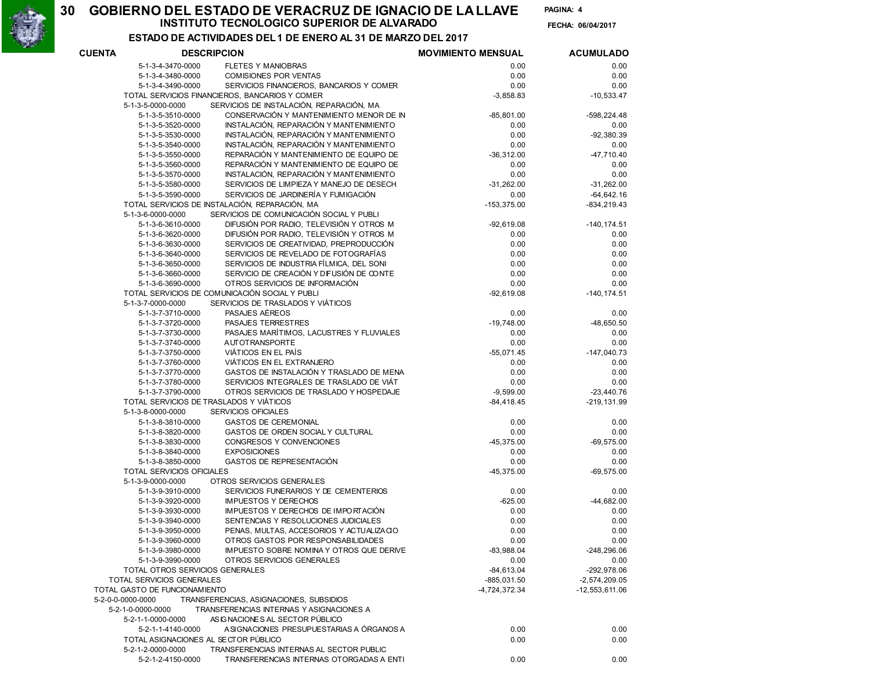30

# INSTITUTO TECNOLOGICO SUPERIOR DE ALVARADO 06/04/2017 GOBIERNO DEL ESTADO DE VERACRUZ DE IGNACIO DE LA LLAVE PAGINA:

PAGINA: 4 FECHA: 06/04/2017

### ESTADO DE ACTIVIDADES DEL 1 DE ENERO AL 31 DE MARZO DEL 2017

| <b>CUENTA</b> |                                  | <b>DESCRIPCION</b>                             | <b>MOVIMIENTO MENSUAL</b> | <b>ACUMULADO</b> |
|---------------|----------------------------------|------------------------------------------------|---------------------------|------------------|
|               | 5-1-3-4-3470-0000                | <b>FLETES Y MANIOBRAS</b>                      | 0.00                      | 0.00             |
|               | 5-1-3-4-3480-0000                | <b>COMISIONES POR VENTAS</b>                   | 0.00                      | 0.00             |
|               | 5-1-3-4-3490-0000                | SERVICIOS FINANCIEROS, BANCARIOS Y COMER       | 0.00                      | 0.00             |
|               |                                  | TOTAL SERVICIOS FINANCIEROS, BANCARIOS Y COMER | $-3,858.83$               | $-10,533.47$     |
|               | 5-1-3-5-0000-0000                | SERVICIOS DE INSTALACIÓN, REPARACIÓN, MA       |                           |                  |
|               | 5-1-3-5-3510-0000                | CONSERVACIÓN Y MANTENIMIENTO MENOR DE IN       | $-85,801.00$              | $-598, 224.48$   |
|               | 5-1-3-5-3520-0000                | INSTALACIÓN, REPARACIÓN Y MANTENIMIENTO        | 0.00                      | 0.00             |
|               | 5-1-3-5-3530-0000                | INSTALACIÓN, REPARACIÓN Y MANTENIMIENTO        | 0.00                      | $-92,380.39$     |
|               | 5-1-3-5-3540-0000                | INSTALACIÓN, REPARACIÓN Y MANTENIMIENTO        | 0.00                      | 0.00             |
|               | 5-1-3-5-3550-0000                | REPARACIÓN Y MANTENIMIENTO DE EQUIPO DE        | $-36,312.00$              | $-47,710.40$     |
|               | 5-1-3-5-3560-0000                | REPARACIÓN Y MANTENIMIENTO DE EQUIPO DE        | 0.00                      | 0.00             |
|               | 5-1-3-5-3570-0000                | INSTALACIÓN, REPARACIÓN Y MANTENIMIENTO        | 0.00                      | 0.00             |
|               | 5-1-3-5-3580-0000                | SERVICIOS DE LIMPIEZA Y MANEJO DE DESECH       | $-31,262.00$              | $-31,262.00$     |
|               | 5-1-3-5-3590-0000                | SERVICIOS DE JARDINERÍA Y FUMIGACIÓN           | 0.00                      | $-64,642.16$     |
|               |                                  | TOTAL SERVICIOS DE INSTALACIÓN, REPARACIÓN, MA | $-153,375.00$             | $-834, 219.43$   |
|               | 5-1-3-6-0000-0000                | SERVICIOS DE COMUNICACIÓN SOCIAL Y PUBLI       |                           |                  |
|               | 5-1-3-6-3610-0000                | DIFUSIÓN POR RADIO, TELEVISIÓN Y OTROS M       | $-92,619.08$              | $-140, 174.51$   |
|               | 5-1-3-6-3620-0000                | DIFUSIÓN POR RADIO, TELEVISIÓN Y OTROS M       | 0.00                      | 0.00             |
|               | 5-1-3-6-3630-0000                | SERVICIOS DE CREATIVIDAD, PREPRODUCCIÓN        | 0.00                      | 0.00             |
|               | 5-1-3-6-3640-0000                | SERVICIOS DE REVELADO DE FOTOGRAFÍAS           | 0.00                      | 0.00             |
|               | 5-1-3-6-3650-0000                | SERVICIOS DE INDUSTRIA FÍLMICA, DEL SONI       | 0.00                      | 0.00             |
|               | 5-1-3-6-3660-0000                | SERVICIO DE CREACIÓN Y DIFUSIÓN DE CONTE       | 0.00                      | 0.00             |
|               | 5-1-3-6-3690-0000                | OTROS SERVICIOS DE INFORMACIÓN                 | 0.00                      | 0.00             |
|               |                                  | TOTAL SERVICIOS DE COMUNICACIÓN SOCIAL Y PUBLI | $-92,619.08$              | $-140, 174.51$   |
|               | 5-1-3-7-0000-0000                | SERVICIOS DE TRASLADOS Y VIÁTICOS              |                           |                  |
|               | 5-1-3-7-3710-0000                | PASAJES AÉREOS                                 | 0.00                      | 0.00             |
|               | 5-1-3-7-3720-0000                | PASAJES TERRESTRES                             | $-19,748.00$              | $-48,650.50$     |
|               | 5-1-3-7-3730-0000                | PASAJES MARÍTIMOS, LACUSTRES Y FLUVIALES       | 0.00                      | 0.00             |
|               | 5-1-3-7-3740-0000                | <b>AUTOTRANSPORTE</b>                          | 0.00                      | 0.00             |
|               | 5-1-3-7-3750-0000                | VIÁTICOS EN EL PAÍS                            | $-55,071.45$              | $-147,040.73$    |
|               | 5-1-3-7-3760-0000                | VIÁTICOS EN EL EXTRANJERO                      | 0.00                      | 0.00             |
|               | 5-1-3-7-3770-0000                | GASTOS DE INSTALACIÓN Y TRASLADO DE MENA       | 0.00                      | 0.00             |
|               | 5-1-3-7-3780-0000                | SERVICIOS INTEGRALES DE TRASLADO DE VIÁT       | 0.00                      | 0.00             |
|               | 5-1-3-7-3790-0000                | OTROS SERVICIOS DE TRASLADO Y HOSPEDAJE        | $-9,599.00$               | $-23,440.76$     |
|               |                                  | TOTAL SERVICIOS DE TRASLADOS Y VIÁTICOS        | $-84,418.45$              | $-219, 131.99$   |
|               | 5-1-3-8-0000-0000                | SERVICIOS OFICIALES                            |                           |                  |
|               | 5-1-3-8-3810-0000                | <b>GASTOS DE CEREMONIAL</b>                    | 0.00                      | 0.00             |
|               | 5-1-3-8-3820-0000                | GASTOS DE ORDEN SOCIAL Y CULTURAL              | 0.00                      | 0.00             |
|               | 5-1-3-8-3830-0000                | CONGRESOS Y CONVENCIONES                       | $-45,375.00$              | $-69,575.00$     |
|               | 5-1-3-8-3840-0000                | <b>EXPOSICIONES</b>                            | 0.00                      | 0.00             |
|               | 5-1-3-8-3850-0000                | GASTOS DE REPRESENTACIÓN                       | 0.00                      | 0.00             |
|               | <b>TOTAL SERVICIOS OFICIALES</b> |                                                | $-45,375.00$              | $-69,575.00$     |
|               | 5-1-3-9-0000-0000                | OTROS SERVICIOS GENERALES                      |                           |                  |
|               | 5-1-3-9-3910-0000                | SERVICIOS FUNERARIOS Y DE CEMENTERIOS          | 0.00                      | 0.00             |
|               | 5-1-3-9-3920-0000                | <b>IMPUESTOS Y DERECHOS</b>                    | $-625.00$                 | $-44,682.00$     |
|               | 5-1-3-9-3930-0000                | IMPUESTOS Y DERECHOS DE IMPORTACIÓN            | 0.00                      | 0.00             |
|               | 5-1-3-9-3940-0000                | SENTENCIAS Y RESOLUCIONES JUDICIALES           | 0.00                      | 0.00             |
|               | 5-1-3-9-3950-0000                | PENAS, MULTAS, ACCESORIOS Y ACTUALIZACIO       | 0.00                      | 0.00             |
|               | 5-1-3-9-3960-0000                | OTROS GASTOS POR RESPONSABILIDADES             | 0.00                      | 0.00             |
|               | 5-1-3-9-3980-0000                | IMPUESTO SOBRE NOMINA Y OTROS QUE DERIVE       | $-83,988.04$              | $-248,296.06$    |
|               | 5-1-3-9-3990-0000                | OTROS SERVICIOS GENERALES                      | 0.00                      | 0.00             |
|               | TOTAL OTROS SERVICIOS GENERALES  |                                                | $-84,613.04$              | $-292,978.06$    |
|               | TOTAL SERVICIOS GENERALES        |                                                | -885,031.50               | $-2,574,209.05$  |
|               | TOTAL GASTO DE FUNCIONAMIENTO    |                                                | -4,724,372.34             | $-12,553,611.06$ |
|               | 5-2-0-0-0000-0000                | TRANSFERENCIAS, ASIGNACIONES, SUBSIDIOS        |                           |                  |
|               | 5-2-1-0-0000-0000                | TRANSFERENCIAS INTERNAS Y ASIGNACIONES A       |                           |                  |
|               | 5-2-1-1-0000-0000                | AS IGNACIONES AL SECTOR PÚBLICO                |                           |                  |
|               | 5-2-1-1-4140-0000                | ASIGNACIONES PRESUPUESTARIAS A ÓRGANOS A       | 0.00                      | 0.00             |
|               |                                  | TOTAL ASIGNACIONES AL SECTOR PÚBLICO           | 0.00                      | 0.00             |
|               | 5-2-1-2-0000-0000                | TRANSFERENCIAS INTERNAS AL SECTOR PUBLIC       |                           |                  |
|               | 5-2-1-2-4150-0000                | TRANSFERENCIAS INTERNAS OTORGADAS A ENTI       | 0.00                      | 0.00             |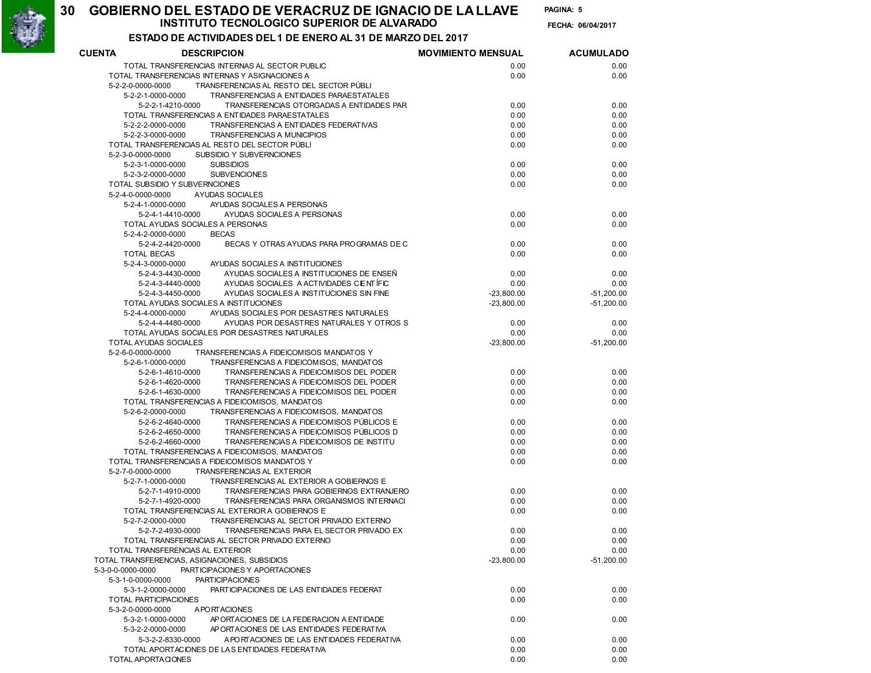INSTITUTO TECNOLOGICO SUPERIOR DE ALVARADO 06/04/2017 GOBIERNO DEL ESTADO DE VERACRUZ DE IGNACIO DE LA LLAVE PAGINA:

PAGINA: 5

FECHA: 06/04/2017

### ESTADO DE ACTIVIDADES DEL 1 DE ENERO AL 31 DE MARZO DEL 2017

30

| <b>CUENTA</b>                | <b>DESCRIPCION</b>                                                                                                           | <b>MOVIMIENTO MENSUAL</b> | <b>ACUMULADO</b> |
|------------------------------|------------------------------------------------------------------------------------------------------------------------------|---------------------------|------------------|
|                              | TOTAL TRANSFERENCIAS INTERNAS AL SECTOR PUBLIC                                                                               | 0.00                      | 0.00             |
|                              | TOTAL TRANSFERENCIAS INTERNAS Y ASIGNACIONES A                                                                               | 0.00                      | 0.00             |
| 5-2-2-0-0000-0000            | TRANSFERENCIAS AL RESTO DEL SECTOR PÚBLI                                                                                     |                           |                  |
| 5-2-2-1-0000-0000            | TRANSFERENCIAS A ENTIDADES PARAESTATALES                                                                                     |                           |                  |
|                              | 5-2-2-1-4210-0000<br>TRANSFERENCIAS OTORGADAS A ENTIDADES PAR                                                                | 0.00                      | 0.00             |
|                              | TOTAL TRANSFERENCIAS A ENTIDADES PARAESTATALES                                                                               | 0.00                      | 0.00             |
| 5-2-2-2-0000-0000            | TRANSFERENCIAS A ENTIDADES FEDERATIVAS                                                                                       | 0.00                      | 0.00             |
| 5-2-2-3-0000-0000            | <b>TRANSFERENCIAS A MUNICIPIOS</b>                                                                                           | 0.00                      | 0.00             |
|                              | TOTAL TRANSFERENCIAS AL RESTO DEL SECTOR PÚBLI                                                                               | 0.00                      | 0.00             |
| 5-2-3-0-0000-0000            | SUBSIDIO Y SUBVERNCIONES                                                                                                     |                           |                  |
| 5-2-3-1-0000-0000            | <b>SUBSIDIOS</b>                                                                                                             | 0.00                      | 0.00             |
| 5-2-3-2-0000-0000            | <b>SUBVENCIONES</b><br>TOTAL SUBSIDIO Y SUBVERNCIONES                                                                        | 0.00                      | 0.00             |
| 5-2-4-0-0000-0000            | <b>AYUDAS SOCIALES</b>                                                                                                       | 0.00                      | 0.00             |
| 5-2-4-1-0000-0000            | AYUDAS SOCIALES A PERSONAS                                                                                                   |                           |                  |
|                              | 5-2-4-1-4410-0000<br>AYUDAS SOCIALES A PERSONAS                                                                              | 0.00                      | 0.00             |
|                              | TOTAL AYUDAS SOCIALES A PERSONAS                                                                                             | 0.00                      | 0.00             |
| 5-2-4-2-0000-0000            | <b>BECAS</b>                                                                                                                 |                           |                  |
|                              | 5-2-4-2-4420-0000<br>BECAS Y OTRAS AYUDAS PARA PROGRAMAS DE C                                                                | 0.00                      | 0.00             |
| <b>TOTAL BECAS</b>           |                                                                                                                              | 0.00                      | 0.00             |
| 5-2-4-3-0000-0000            | AYUDAS SOCIALES A INSTITUCIONES                                                                                              |                           |                  |
|                              | 5-2-4-3-4430-0000<br>AYUDAS SOCIALES A INSTITUCIONES DE ENSEÑ                                                                | 0.00                      | 0.00             |
|                              | AYUDAS SOCIALES A ACTIVIDADES CENTÍFIC<br>5-2-4-3-4440-0000                                                                  | 0.00                      | 0.00             |
|                              | AYUDAS SOCIALES A INSTITUCIONES SIN FINE<br>5-2-4-3-4450-0000                                                                | $-23.800.00$              | $-51,200.00$     |
|                              | TOTAL AYUDAS SOCIALES A INSTITUCIONES                                                                                        | $-23,800.00$              | $-51,200.00$     |
| 5-2-4-4-0000-0000            | AYUDAS SOCIALES POR DESASTRES NATURALES                                                                                      |                           |                  |
|                              | 5-2-4-4-4480-0000<br>AYUDAS POR DESASTRES NATURALES Y OTROS S                                                                | 0.00                      | 0.00             |
|                              | TOTAL AYUDAS SOCIALES POR DESASTRES NATURALES                                                                                | 0.00                      | 0.00             |
| TOTAL AYUDAS SOCIALES        |                                                                                                                              | $-23,800.00$              | $-51,200.00$     |
| 5-2-6-0-0000-0000            | TRANSFERENCIAS A FIDEICOMISOS MANDATOS Y                                                                                     |                           |                  |
| 5-2-6-1-0000-0000            | TRANSFERENCIAS A FIDEICOMISOS, MANDATOS                                                                                      |                           |                  |
|                              | TRANSFERENCIAS A FIDEICOMISOS DEL PODER<br>5-2-6-1-4610-0000                                                                 | 0.00                      | 0.00             |
|                              | 5-2-6-1-4620-0000<br>TRANSFERENCIAS A FIDEICOMISOS DEL PODER<br>5-2-6-1-4630-0000<br>TRANSFERENCIAS A FIDEICOMISOS DEL PODER | 0.00<br>0.00              | 0.00<br>0.00     |
|                              | TOTAL TRANSFERENCIAS A FIDEICOMISOS, MANDATOS                                                                                | 0.00                      | 0.00             |
| 5-2-6-2-0000-0000            | TRANSFERENCIAS A FIDEICOMISOS, MANDATOS                                                                                      |                           |                  |
|                              | TRANSFERENCIAS A FIDEICOMISOS PÚBLICOS E<br>5-2-6-2-4640-0000                                                                | 0.00                      | 0.00             |
|                              | TRANSFERENCIAS A FIDEICOMISOS PÚBLICOS D<br>5-2-6-2-4650-0000                                                                | 0.00                      | 0.00             |
|                              | TRANSFERENCIAS A FIDEICOMISOS DE INSTITU<br>5-2-6-2-4660-0000                                                                | 0.00                      | 0.00             |
|                              | TOTAL TRANSFERENCIAS A FIDEICOMISOS, MANDATOS                                                                                | 0.00                      | 0.00             |
|                              | TOTAL TRANSFERENCIAS A FIDEICOMISOS MANDATOS Y                                                                               | 0.00                      | 0.00             |
| 5-2-7-0-0000-0000            | <b>TRANSFERENCIAS AL EXTERIOR</b>                                                                                            |                           |                  |
| 5-2-7-1-0000-0000            | TRANSFERENCIAS AL EXTERIOR A GOBIERNOS E                                                                                     |                           |                  |
|                              | TRANSFERENCIAS PARA GOBIERNOS EXTRANJERO<br>5-2-7-1-4910-0000                                                                | 0.00                      | 0.00             |
|                              | TRANSFERENCIAS PARA ORGANISMOS INTERNACI<br>5-2-7-1-4920-0000                                                                | 0.00                      | 0.00             |
|                              | TOTAL TRANSFERENCIAS AL EXTERIOR A GOBIERNOS E                                                                               | 0.00                      | 0.00             |
| 5-2-7-2-0000-0000            | TRANSFERENCIAS AL SECTOR PRIVADO EXTERNO                                                                                     |                           |                  |
|                              | TRANSFERENCIAS PARA EL SECTOR PRIVADO EX<br>5-2-7-2-4930-0000                                                                | 0.00                      | 0.00             |
|                              | TOTAL TRANSFERENCIAS AL SECTOR PRIVADO EXTERNO                                                                               | 0.00                      | 0.00             |
|                              | TOTAL TRANSFERENCIAS AL EXTERIOR                                                                                             | 0.00                      | 0.00             |
| 5-3-0-0-0000-0000            | TOTAL TRANSFERENCIAS, ASIGNACIONES, SUBSIDIOS<br>PARTICIPACIONES Y APORTACIONES                                              | $-23,800.00$              | $-51,200.00$     |
| 5-3-1-0-0000-0000            | <b>PARTICIPACIONES</b>                                                                                                       |                           |                  |
| 5-3-1-2-0000-0000            | PARTICIPACIONES DE LAS ENTIDADES FEDERAT                                                                                     | 0.00                      | 0.00             |
| <b>TOTAL PARTICIPACIONES</b> |                                                                                                                              | 0.00                      | 0.00             |
| 5-3-2-0-0000-0000            | A PORTACIONES                                                                                                                |                           |                  |
| 5-3-2-1-0000-0000            | AP ORTACIONES DE LA FEDERACION A ENTIDADE                                                                                    | 0.00                      | 0.00             |
| 5-3-2-2-0000-0000            | APORTACIONES DE LAS ENTIDADES FEDERATIVA                                                                                     |                           |                  |
|                              | A PORTACIONES DE LAS ENTIDADES FEDERATIVA<br>5-3-2-2-8330-0000                                                               | 0.00                      | 0.00             |
|                              | TOTAL APORTACIONES DE LAS ENTIDADES FEDERATIVA                                                                               | 0.00                      | 0.00             |
| TOTAL APORTACIONES           |                                                                                                                              | 0.00                      | 0.00             |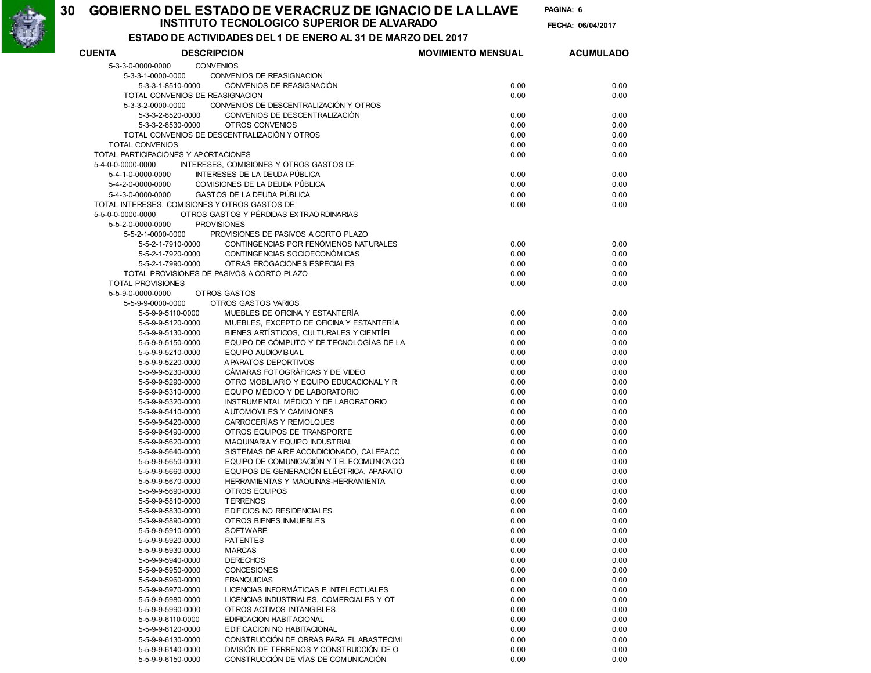INSTITUTO TECNOLOGICO SUPERIOR DE ALVARADO 06/04/2017 GOBIERNO DEL ESTADO DE VERACRUZ DE IGNACIO DE LA LLAVE PAGINA:

PAGINA: 6

FECHA: 06/04/2017

#### ESTADO DE ACTIVIDADES DEL 1 DE ENERO AL 31 DE MARZO DEL 2017

| <b>CUENTA</b>                                 | <b>DESCRIPCION</b> |                                                                  | <b>MOVIMIENTO MENSUAL</b> | <b>ACUMULADO</b> |
|-----------------------------------------------|--------------------|------------------------------------------------------------------|---------------------------|------------------|
| 5-3-3-0-0000-0000                             | <b>CONVENIOS</b>   |                                                                  |                           |                  |
| 5-3-3-1-0000-0000                             |                    | CONVENIOS DE REASIGNACION                                        |                           |                  |
| 5-3-3-1-8510-0000                             |                    | CONVENIOS DE REASIGNACIÓN                                        | 0.00                      | 0.00             |
| TOTAL CONVENIOS DE REASIGNACION               |                    |                                                                  | 0.00                      | 0.00             |
| 5-3-3-2-0000-0000                             |                    | CONVENIOS DE DESCENTRALIZACIÓN Y OTROS                           |                           |                  |
| 5-3-3-2-8520-0000                             |                    | CONVENIOS DE DESCENTRALIZACIÓN                                   | 0.00                      | 0.00             |
| 5-3-3-2-8530-0000                             |                    | <b>OTROS CONVENIOS</b>                                           | 0.00                      | 0.00             |
|                                               |                    | TOTAL CONVENIOS DE DESCENTRALIZACIÓN Y OTROS                     | 0.00                      | 0.00             |
| <b>TOTAL CONVENIOS</b>                        |                    |                                                                  | 0.00                      | 0.00             |
| TOTAL PARTICIPACIONES Y APORTACIONES          |                    |                                                                  | 0.00                      | 0.00             |
| 5-4-0-0-0000-0000                             |                    | INTERESES, COMISIONES Y OTROS GASTOS DE                          |                           |                  |
| 5-4-1-0-0000-0000                             |                    | INTERESES DE LA DEUDA PÚBLICA<br>COMISIONES DE LA DEUDA PÚBLICA  | 0.00                      | 0.00             |
| 5-4-2-0-0000-0000<br>5-4-3-0-0000-0000        |                    | GASTOS DE LA DEUDA PÚBLICA                                       | 0.00<br>0.00              | 0.00<br>0.00     |
| TOTAL INTERESES, COMISIONES Y OTROS GASTOS DE |                    |                                                                  | 0.00                      | 0.00             |
| 5-5-0-0-0000-0000                             |                    | OTROS GASTOS Y PÉRDIDAS EXTRAORDINARIAS                          |                           |                  |
| 5-5-2-0-0000-0000                             |                    | <b>PROVISIONES</b>                                               |                           |                  |
| 5-5-2-1-0000-0000                             |                    | PROVISIONES DE PASIVOS A CORTO PLAZO                             |                           |                  |
| 5-5-2-1-7910-0000                             |                    | CONTINGENCIAS POR FENÓMENOS NATURALES                            | 0.00                      | 0.00             |
| 5-5-2-1-7920-0000                             |                    | CONTINGENCIAS SOCIOECONÓMICAS                                    | 0.00                      | 0.00             |
| 5-5-2-1-7990-0000                             |                    | OTRAS EROGACIONES ESPECIALES                                     | 0.00                      | 0.00             |
|                                               |                    | TOTAL PROVISIONES DE PASIVOS A CORTO PLAZO                       | 0.00                      | 0.00             |
| <b>TOTAL PROVISIONES</b>                      |                    |                                                                  | 0.00                      | 0.00             |
| 5-5-9-0-0000-0000                             |                    | OTROS GASTOS                                                     |                           |                  |
| 5-5-9-9-0000-0000                             |                    | OTROS GASTOS VARIOS                                              |                           |                  |
| 5-5-9-9-5110-0000                             |                    | MUEBLES DE OFICINA Y ESTANTERÍA                                  | 0.00                      | 0.00             |
| 5-5-9-9-5120-0000                             |                    | MUEBLES, EXCEPTO DE OFICINA Y ESTANTERÍA                         | 0.00                      | 0.00             |
| 5-5-9-9-5130-0000                             |                    | BIENES ARTÍSTICOS, CULTURALES Y CIENTÍFI                         | 0.00                      | 0.00             |
| 5-5-9-9-5150-0000                             |                    | EQUIPO DE CÓMPUTO Y DE TECNOLOGÍAS DE LA                         | 0.00                      | 0.00             |
| 5-5-9-9-5210-0000                             |                    | EQUIPO AUDIOV IS UA L                                            | 0.00                      | 0.00             |
| 5-5-9-9-5220-0000                             |                    | APARATOS DEPORTIVOS                                              | 0.00                      | 0.00             |
| 5-5-9-9-5230-0000                             |                    | CÁMARAS FOTOGRÁFICAS Y DE VIDEO                                  | 0.00                      | 0.00             |
| 5-5-9-9-5290-0000                             |                    | OTRO MOBILIARIO Y EQUIPO EDUCACIONAL Y R                         | 0.00                      | 0.00             |
| 5-5-9-9-5310-0000                             |                    | EQUIPO MÉDICO Y DE LABORATORIO                                   | 0.00                      | 0.00             |
| 5-5-9-9-5320-0000<br>5-5-9-9-5410-0000        |                    | INSTRUMENTAL MÉDICO Y DE LABORATORIO<br>AUTOMOVILES Y CAMINIONES | 0.00<br>0.00              | 0.00<br>0.00     |
| 5-5-9-9-5420-0000                             |                    | CARROCERÍAS Y REMOLQUES                                          | 0.00                      | 0.00             |
| 5-5-9-9-5490-0000                             |                    | OTROS EQUIPOS DE TRANSPORTE                                      | 0.00                      | 0.00             |
| 5-5-9-9-5620-0000                             |                    | MAQUINARIA Y EQUIPO INDUSTRIAL                                   | 0.00                      | 0.00             |
| 5-5-9-9-5640-0000                             |                    | SISTEMAS DE A RE ACONDICIONADO, CALEFACC                         | 0.00                      | 0.00             |
| 5-5-9-9-5650-0000                             |                    | EQUIPO DE COMUNICACIÓN Y TEL ECOMUNICACIÓ                        | 0.00                      | 0.00             |
| 5-5-9-9-5660-0000                             |                    | EQUIPOS DE GENERACIÓN ELÉCTRICA, APARATO                         | 0.00                      | 0.00             |
| 5-5-9-9-5670-0000                             |                    | HERRAMIENTAS Y MÁQUINAS-HERRAMIENTA                              | 0.00                      | 0.00             |
| 5-5-9-9-5690-0000                             |                    | OTROS EQUIPOS                                                    | 0.00                      | 0.00             |
| 5-5-9-9-5810-0000                             |                    | <b>TERRENOS</b>                                                  | 0.00                      | 0.00             |
| 5-5-9-9-5830-0000                             |                    | <b>EDIFICIOS NO RESIDENCIALES</b>                                | 0.00                      | 0.00             |
| 5-5-9-9-5890-0000                             |                    | OTROS BIENES INMUEBLES                                           | 0.00                      | 0.00             |
| 5-5-9-9-5910-0000                             |                    | <b>SOFTWARE</b>                                                  | 0.00                      | 0.00             |
| 5-5-9-9-5920-0000                             |                    | <b>PATENTES</b>                                                  | 0.00                      | 0.00             |
| 5-5-9-9-5930-0000                             |                    | <b>MARCAS</b>                                                    | 0.00                      | 0.00             |
| 5-5-9-9-5940-0000                             |                    | <b>DERECHOS</b>                                                  | 0.00                      | 0.00             |
| 5-5-9-9-5950-0000                             |                    | <b>CONCESIONES</b>                                               | 0.00                      | 0.00             |
| 5-5-9-9-5960-0000                             |                    | <b>FRANQUICIAS</b>                                               | 0.00                      | 0.00             |
| 5-5-9-9-5970-0000                             |                    | LICENCIAS INFORMÁTICAS E INTELECTUALES                           | 0.00                      | 0.00             |
| 5-5-9-9-5980-0000                             |                    | LICENCIAS INDUSTRIALES, COMERCIALES Y OT                         | 0.00                      | 0.00             |
| 5-5-9-9-5990-0000                             |                    | OTROS ACTIVOS INTANGIBLES<br><b>EDIFICACION HABITACIONAL</b>     | 0.00                      | 0.00             |
| 5-5-9-9-6110-0000<br>5-5-9-9-6120-0000        |                    | EDIFICACION NO HABITACIONAL                                      | 0.00<br>0.00              | 0.00<br>0.00     |
| 5-5-9-9-6130-0000                             |                    | CONSTRUCCIÓN DE OBRAS PARA EL ABASTECIMI                         | 0.00                      | 0.00             |
| 5-5-9-9-6140-0000                             |                    | DIVISIÓN DE TERRENOS Y CONSTRUCCIÓN DE O                         | 0.00                      | 0.00             |
| 5-5-9-9-6150-0000                             |                    | CONSTRUCCIÓN DE VÍAS DE COMUNICACIÓN                             | 0.00                      | 0.00             |
|                                               |                    |                                                                  |                           |                  |



30